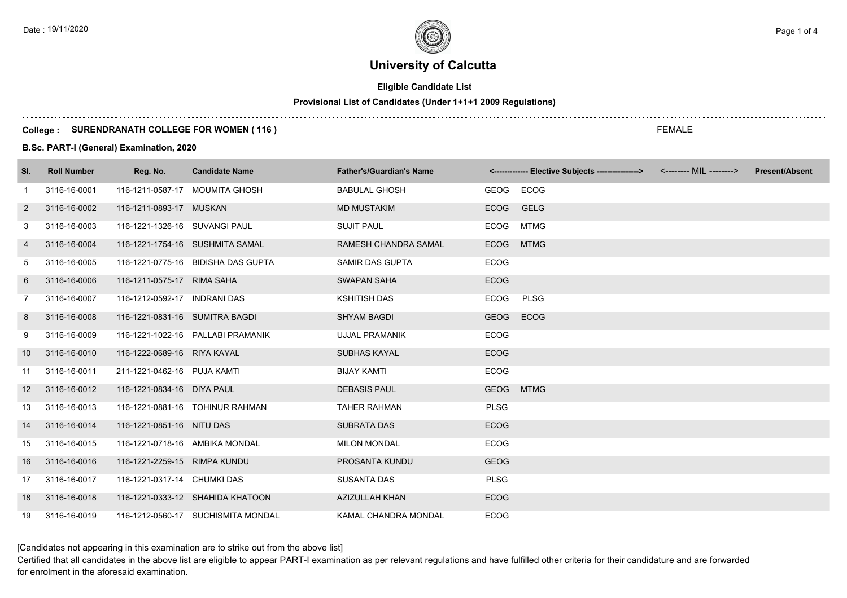# **Eligible Candidate List**

# **Provisional List of Candidates (Under 1+1+1 2009 Regulations)**

### **College : SURENDRANATH COLLEGE FOR WOMEN ( 116 )**

### **B.Sc. PART-I (General) Examination, 2020**

| SI.            | <b>Roll Number</b> | Reg. No.                       | <b>Candidate Name</b>              | <b>Father's/Guardian's Name</b> |             | <------------- Elective Subjects ----------------> <-------- MIL --------> | <b>Present/Absent</b> |
|----------------|--------------------|--------------------------------|------------------------------------|---------------------------------|-------------|----------------------------------------------------------------------------|-----------------------|
| -1             | 3116-16-0001       |                                | 116-1211-0587-17 MOUMITA GHOSH     | <b>BABULAL GHOSH</b>            | GEOG        | <b>ECOG</b>                                                                |                       |
| $\overline{2}$ | 3116-16-0002       | 116-1211-0893-17 MUSKAN        |                                    | <b>MD MUSTAKIM</b>              | ECOG GELG   |                                                                            |                       |
| 3              | 3116-16-0003       | 116-1221-1326-16 SUVANGI PAUL  |                                    | <b>SUJIT PAUL</b>               | ECOG        | <b>MTMG</b>                                                                |                       |
| 4              | 3116-16-0004       |                                | 116-1221-1754-16 SUSHMITA SAMAL    | RAMESH CHANDRA SAMAL            | <b>ECOG</b> | <b>MTMG</b>                                                                |                       |
| 5              | 3116-16-0005       |                                | 116-1221-0775-16 BIDISHA DAS GUPTA | SAMIR DAS GUPTA                 | <b>ECOG</b> |                                                                            |                       |
| 6              | 3116-16-0006       | 116-1211-0575-17 RIMA SAHA     |                                    | <b>SWAPAN SAHA</b>              | <b>ECOG</b> |                                                                            |                       |
| $\overline{7}$ | 3116-16-0007       | 116-1212-0592-17 INDRANI DAS   |                                    | <b>KSHITISH DAS</b>             | ECOG        | PLSG                                                                       |                       |
| 8              | 3116-16-0008       | 116-1221-0831-16 SUMITRA BAGDI |                                    | <b>SHYAM BAGDI</b>              | <b>GEOG</b> | <b>ECOG</b>                                                                |                       |
| 9              | 3116-16-0009       |                                | 116-1221-1022-16 PALLABI PRAMANIK  | <b>UJJAL PRAMANIK</b>           | <b>ECOG</b> |                                                                            |                       |
| 10             | 3116-16-0010       | 116-1222-0689-16 RIYA KAYAL    |                                    | <b>SUBHAS KAYAL</b>             | <b>ECOG</b> |                                                                            |                       |
| 11             | 3116-16-0011       | 211-1221-0462-16 PUJA KAMTI    |                                    | <b>BIJAY KAMTI</b>              | <b>ECOG</b> |                                                                            |                       |
| 12             | 3116-16-0012       | 116-1221-0834-16 DIYA PAUL     |                                    | <b>DEBASIS PAUL</b>             | <b>GEOG</b> | <b>MTMG</b>                                                                |                       |
| 13             | 3116-16-0013       |                                | 116-1221-0881-16 TOHINUR RAHMAN    | <b>TAHER RAHMAN</b>             | <b>PLSG</b> |                                                                            |                       |
| 14             | 3116-16-0014       | 116-1221-0851-16 NITU DAS      |                                    | <b>SUBRATA DAS</b>              | <b>ECOG</b> |                                                                            |                       |
| 15             | 3116-16-0015       | 116-1221-0718-16 AMBIKA MONDAL |                                    | <b>MILON MONDAL</b>             | <b>ECOG</b> |                                                                            |                       |
| 16             | 3116-16-0016       | 116-1221-2259-15 RIMPA KUNDU   |                                    | PROSANTA KUNDU                  | <b>GEOG</b> |                                                                            |                       |
| 17             | 3116-16-0017       | 116-1221-0317-14 CHUMKI DAS    |                                    | <b>SUSANTA DAS</b>              | <b>PLSG</b> |                                                                            |                       |
| 18             | 3116-16-0018       |                                | 116-1221-0333-12 SHAHIDA KHATOON   | <b>AZIZULLAH KHAN</b>           | <b>ECOG</b> |                                                                            |                       |
| 19             | 3116-16-0019       |                                | 116-1212-0560-17 SUCHISMITA MONDAL | KAMAL CHANDRA MONDAL            | <b>ECOG</b> |                                                                            |                       |

[Candidates not appearing in this examination are to strike out from the above list]

Certified that all candidates in the above list are eligible to appear PART-I examination as per relevant regulations and have fulfilled other criteria for their candidature and are forwarded for enrolment in the aforesaid examination.

FEMALE

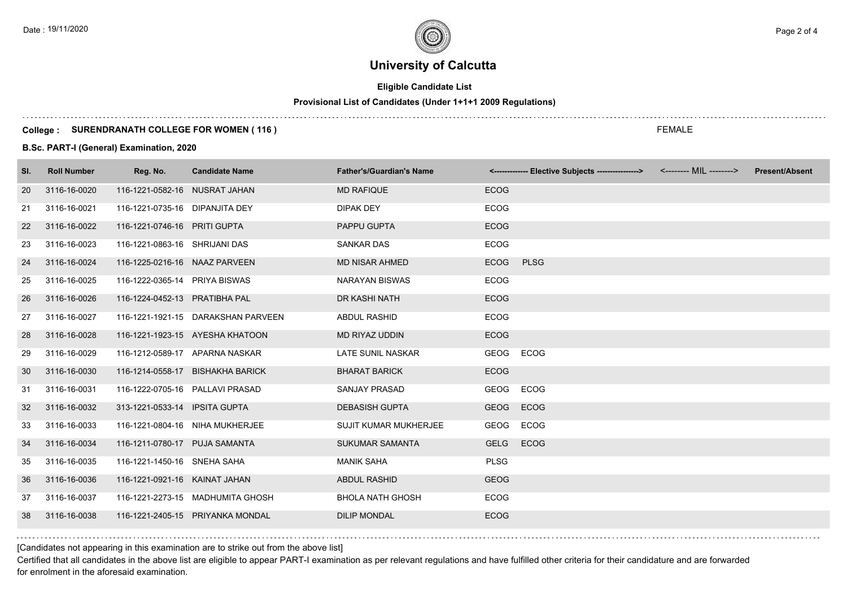# **Eligible Candidate List**

# **Provisional List of Candidates (Under 1+1+1 2009 Regulations)**

### **College : SURENDRANATH COLLEGE FOR WOMEN ( 116 )**

### **B.Sc. PART-I (General) Examination, 2020**

| SI. | <b>Roll Number</b> | Reg. No.                        | <b>Candidate Name</b>              | <b>Father's/Guardian's Name</b> |             | <------------- Elective Subjects ----------------> <-------- MIL --------> | <b>Present/Absent</b> |
|-----|--------------------|---------------------------------|------------------------------------|---------------------------------|-------------|----------------------------------------------------------------------------|-----------------------|
| 20  | 3116-16-0020       | 116-1221-0582-16 NUSRAT JAHAN   |                                    | <b>MD RAFIQUE</b>               | <b>ECOG</b> |                                                                            |                       |
| 21  | 3116-16-0021       | 116-1221-0735-16 DIPANJITA DEY  |                                    | DIPAK DEY                       | <b>ECOG</b> |                                                                            |                       |
| 22  | 3116-16-0022       | 116-1221-0746-16 PRITI GUPTA    |                                    | PAPPU GUPTA                     | <b>ECOG</b> |                                                                            |                       |
| 23  | 3116-16-0023       | 116-1221-0863-16 SHRIJANI DAS   |                                    | <b>SANKAR DAS</b>               | <b>ECOG</b> |                                                                            |                       |
| 24  | 3116-16-0024       | 116-1225-0216-16 NAAZ PARVEEN   |                                    | <b>MD NISAR AHMED</b>           | <b>ECOG</b> | <b>PLSG</b>                                                                |                       |
| 25  | 3116-16-0025       | 116-1222-0365-14 PRIYA BISWAS   |                                    | <b>NARAYAN BISWAS</b>           | <b>ECOG</b> |                                                                            |                       |
| 26  | 3116-16-0026       | 116-1224-0452-13 PRATIBHA PAL   |                                    | DR KASHI NATH                   | <b>ECOG</b> |                                                                            |                       |
| 27  | 3116-16-0027       |                                 | 116-1221-1921-15 DARAKSHAN PARVEEN | <b>ABDUL RASHID</b>             | <b>ECOG</b> |                                                                            |                       |
| 28  | 3116-16-0028       |                                 | 116-1221-1923-15 AYESHA KHATOON    | MD RIYAZ UDDIN                  | ECOG        |                                                                            |                       |
| 29  | 3116-16-0029       | 116-1212-0589-17 APARNA NASKAR  |                                    | <b>LATE SUNIL NASKAR</b>        | GEOG        | <b>ECOG</b>                                                                |                       |
| 30  | 3116-16-0030       |                                 | 116-1214-0558-17 BISHAKHA BARICK   | <b>BHARAT BARICK</b>            | <b>ECOG</b> |                                                                            |                       |
| 31  | 3116-16-0031       | 116-1222-0705-16 PALLAVI PRASAD |                                    | SANJAY PRASAD                   | GEOG        | ECOG                                                                       |                       |
| 32  | 3116-16-0032       | 313-1221-0533-14 IPSITA GUPTA   |                                    | <b>DEBASISH GUPTA</b>           | <b>GEOG</b> | <b>ECOG</b>                                                                |                       |
| 33  | 3116-16-0033       |                                 | 116-1221-0804-16 NIHA MUKHERJEE    | <b>SUJIT KUMAR MUKHERJEE</b>    | GEOG ECOG   |                                                                            |                       |
| 34  | 3116-16-0034       | 116-1211-0780-17 PUJA SAMANTA   |                                    | <b>SUKUMAR SAMANTA</b>          | GELG        | ECOG                                                                       |                       |
| 35  | 3116-16-0035       | 116-1221-1450-16 SNEHA SAHA     |                                    | <b>MANIK SAHA</b>               | <b>PLSG</b> |                                                                            |                       |
| 36  | 3116-16-0036       | 116-1221-0921-16 KAINAT JAHAN   |                                    | <b>ABDUL RASHID</b>             | <b>GEOG</b> |                                                                            |                       |
| 37  | 3116-16-0037       |                                 | 116-1221-2273-15 MADHUMITA GHOSH   | <b>BHOLA NATH GHOSH</b>         | <b>ECOG</b> |                                                                            |                       |
| 38  | 3116-16-0038       |                                 | 116-1221-2405-15 PRIYANKA MONDAL   | <b>DILIP MONDAL</b>             | <b>ECOG</b> |                                                                            |                       |

[Candidates not appearing in this examination are to strike out from the above list]

Certified that all candidates in the above list are eligible to appear PART-I examination as per relevant regulations and have fulfilled other criteria for their candidature and are forwarded for enrolment in the aforesaid examination.

FEMALE

Date : 19/11/2020  $\rho$  Page 2 of 4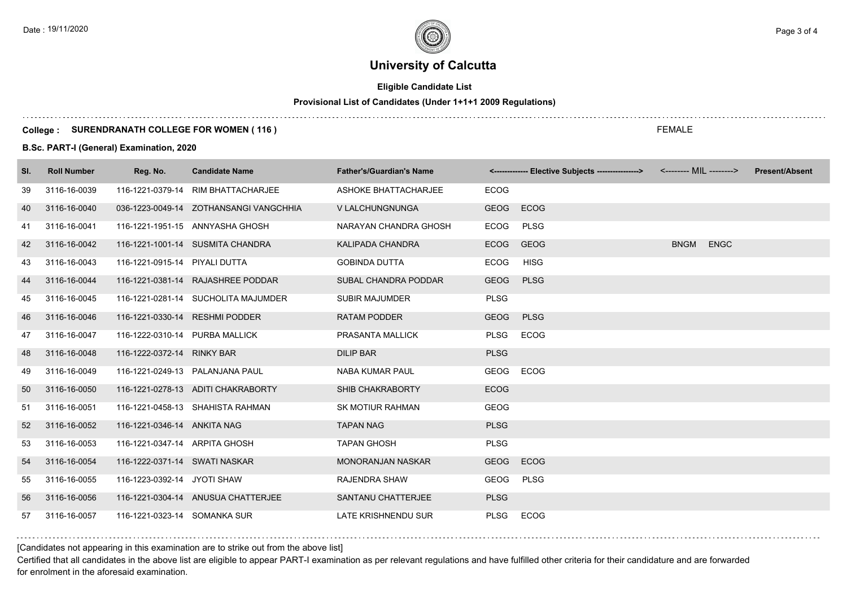# **Eligible Candidate List**

# **Provisional List of Candidates (Under 1+1+1 2009 Regulations)**

### **College : SURENDRANATH COLLEGE FOR WOMEN ( 116 )**

**B.Sc. PART-I (General) Examination, 2020**

| SI. | <b>Roll Number</b> | Reg. No.                       | <b>Candidate Name</b>                  | <b>Father's/Guardian's Name</b> |             | <------------- Elective Subjects ---------------> <-------- MIL --------> |             |             | <b>Present/Absent</b> |
|-----|--------------------|--------------------------------|----------------------------------------|---------------------------------|-------------|---------------------------------------------------------------------------|-------------|-------------|-----------------------|
| 39  | 3116-16-0039       |                                | 116-1221-0379-14 RIM BHATTACHARJEE     | ASHOKE BHATTACHARJEE            | <b>ECOG</b> |                                                                           |             |             |                       |
| 40  | 3116-16-0040       |                                | 036-1223-0049-14 ZOTHANSANGI VANGCHHIA | V LALCHUNGNUNGA                 | <b>GEOG</b> | <b>ECOG</b>                                                               |             |             |                       |
| 41  | 3116-16-0041       |                                | 116-1221-1951-15 ANNYASHA GHOSH        | NARAYAN CHANDRA GHOSH           | <b>ECOG</b> | <b>PLSG</b>                                                               |             |             |                       |
| 42  | 3116-16-0042       |                                | 116-1221-1001-14 SUSMITA CHANDRA       | <b>KALIPADA CHANDRA</b>         | <b>ECOG</b> | <b>GEOG</b>                                                               | <b>BNGM</b> | <b>ENGC</b> |                       |
| 43  | 3116-16-0043       | 116-1221-0915-14 PIYALI DUTTA  |                                        | <b>GOBINDA DUTTA</b>            | ECOG        | <b>HISG</b>                                                               |             |             |                       |
| 44  | 3116-16-0044       |                                | 116-1221-0381-14 RAJASHREE PODDAR      | SUBAL CHANDRA PODDAR            | <b>GEOG</b> | <b>PLSG</b>                                                               |             |             |                       |
| 45  | 3116-16-0045       |                                | 116-1221-0281-14 SUCHOLITA MAJUMDER    | <b>SUBIR MAJUMDER</b>           | <b>PLSG</b> |                                                                           |             |             |                       |
| 46  | 3116-16-0046       |                                | 116-1221-0330-14 RESHMI PODDER         | <b>RATAM PODDER</b>             | GEOG        | <b>PLSG</b>                                                               |             |             |                       |
| 47  | 3116-16-0047       | 116-1222-0310-14 PURBA MALLICK |                                        | PRASANTA MALLICK                | <b>PLSG</b> | <b>ECOG</b>                                                               |             |             |                       |
| 48  | 3116-16-0048       | 116-1222-0372-14 RINKY BAR     |                                        | <b>DILIP BAR</b>                | <b>PLSG</b> |                                                                           |             |             |                       |
| 49  | 3116-16-0049       |                                | 116-1221-0249-13 PALANJANA PAUL        | <b>NABA KUMAR PAUL</b>          | <b>GEOG</b> | <b>ECOG</b>                                                               |             |             |                       |
| 50  | 3116-16-0050       |                                | 116-1221-0278-13 ADITI CHAKRABORTY     | SHIB CHAKRABORTY                | <b>ECOG</b> |                                                                           |             |             |                       |
| 51  | 3116-16-0051       |                                | 116-1221-0458-13 SHAHISTA RAHMAN       | <b>SK MOTIUR RAHMAN</b>         | <b>GEOG</b> |                                                                           |             |             |                       |
| 52  | 3116-16-0052       | 116-1221-0346-14 ANKITA NAG    |                                        | <b>TAPAN NAG</b>                | <b>PLSG</b> |                                                                           |             |             |                       |
| 53  | 3116-16-0053       | 116-1221-0347-14 ARPITA GHOSH  |                                        | <b>TAPAN GHOSH</b>              | <b>PLSG</b> |                                                                           |             |             |                       |
| 54  | 3116-16-0054       | 116-1222-0371-14 SWATI NASKAR  |                                        | <b>MONORANJAN NASKAR</b>        | GEOG        | <b>ECOG</b>                                                               |             |             |                       |
| 55  | 3116-16-0055       | 116-1223-0392-14 JYOTI SHAW    |                                        | <b>RAJENDRA SHAW</b>            | GEOG        | <b>PLSG</b>                                                               |             |             |                       |
| 56  | 3116-16-0056       |                                | 116-1221-0304-14 ANUSUA CHATTERJEE     | SANTANU CHATTERJEE              | <b>PLSG</b> |                                                                           |             |             |                       |
| 57  | 3116-16-0057       | 116-1221-0323-14 SOMANKA SUR   |                                        | <b>LATE KRISHNENDU SUR</b>      | <b>PLSG</b> | <b>ECOG</b>                                                               |             |             |                       |

### [Candidates not appearing in this examination are to strike out from the above list]

Certified that all candidates in the above list are eligible to appear PART-I examination as per relevant regulations and have fulfilled other criteria for their candidature and are forwarded for enrolment in the aforesaid examination.

FEMALE